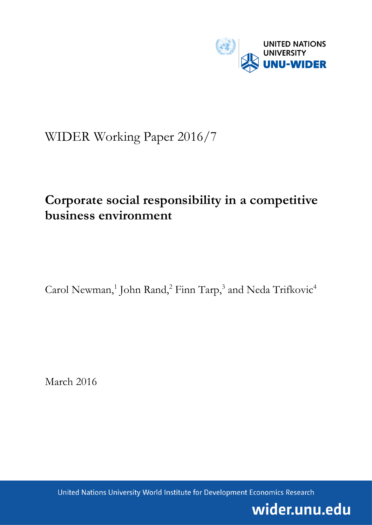

# WIDER Working Paper 2016/7

# **Corporate social responsibility in a competitive business environment**

Carol Newman,<sup>1</sup> John Rand,<sup>2</sup> Finn Tarp,<sup>3</sup> and Neda Trifkovic<sup>4</sup>

March 2016

United Nations University World Institute for Development Economics Research

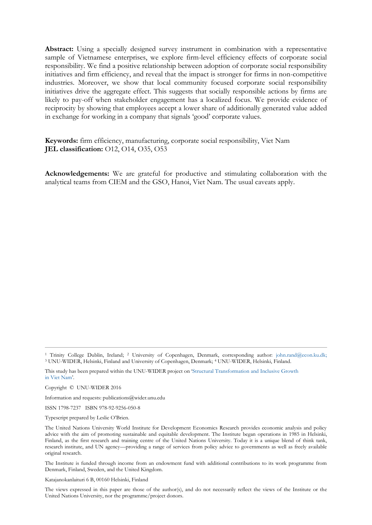**Abstract:** Using a specially designed survey instrument in combination with a representative sample of Vietnamese enterprises, we explore firm-level efficiency effects of corporate social responsibility. We find a positive relationship between adoption of corporate social responsibility initiatives and firm efficiency, and reveal that the impact is stronger for firms in non-competitive industries. Moreover, we show that local community focused corporate social responsibility initiatives drive the aggregate effect. This suggests that socially responsible actions by firms are likely to pay-off when stakeholder engagement has a localized focus. We provide evidence of reciprocity by showing that employees accept a lower share of additionally generated value added in exchange for working in a company that signals 'good' corporate values.

**Keywords:** firm efficiency, manufacturing, corporate social responsibility, Viet Nam **JEL classification:** O12, O14, O35, O53

**Acknowledgements:** We are grateful for productive and stimulating collaboration with the analytical teams from CIEM and the GSO, Hanoi, Viet Nam. The usual caveats apply.

Copyright © UNU-WIDER 2016

Information and requests: publications@wider.unu.edu

ISSN 1798-7237 ISBN 978-92-9256-050-8

Typescript prepared by Leslie O'Brien.

The Institute is funded through income from an endowment fund with additional contributions to its work programme from Denmark, Finland, Sweden, and the United Kingdom.

Katajanokanlaituri 6 B, 00160 Helsinki, Finland

The views expressed in this paper are those of the author(s), and do not necessarily reflect the views of the Institute or the United Nations University, nor the programme/project donors.

<sup>1</sup> Trinity College Dublin, Ireland; <sup>2</sup> University of Copenhagen, Denmark, corresponding author: [john.rand@econ.ku.dk;](mailto:john.rand@econ.ku.dk) <sup>3</sup> UNU-WIDER, Helsinki, Finland and University of Copenhagen, Denmark; <sup>4</sup> UNU-WIDER, Helsinki, Finland.

This study has been prepared within the UNU-WIDER project on '[Structural Transformation and Inclusive Growth](https://www.wider.unu.edu/node/372)  [in Viet](https://www.wider.unu.edu/node/372) Nam'.

The United Nations University World Institute for Development Economics Research provides economic analysis and policy advice with the aim of promoting sustainable and equitable development. The Institute began operations in 1985 in Helsinki, Finland, as the first research and training centre of the United Nations University. Today it is a unique blend of think tank, research institute, and UN agency—providing a range of services from policy advice to governments as well as freely available original research.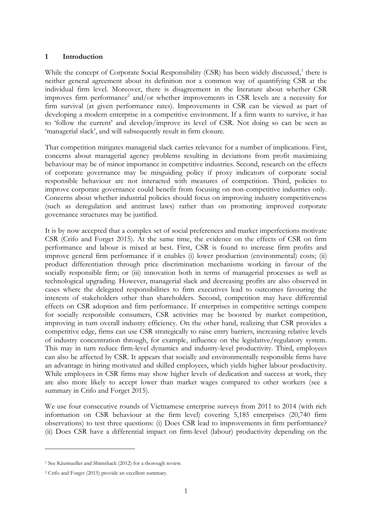# **1 Introduction**

While the concept of Corporate Social Responsibility (CSR) has been widely discussed,<sup>1</sup> there is neither general agreement about its definition nor a common way of quantifying CSR at the individual firm level. Moreover, there is disagreement in the literature about whether CSR improves firm performance<sup>2</sup> and/or whether improvements in CSR levels are a necessity for firm survival (at given performance rates). Improvements in CSR can be viewed as part of developing a modern enterprise in a competitive environment. If a firm wants to survive, it has to 'follow the current' and develop/improve its level of CSR. Not doing so can be seen as 'managerial slack', and will subsequently result in firm closure.

That competition mitigates managerial slack carries relevance for a number of implications. First, concerns about managerial agency problems resulting in deviations from profit maximizing behaviour may be of minor importance in competitive industries. Second, research on the effects of corporate governance may be misguiding policy if proxy indicators of corporate social responsible behaviour are not interacted with measures of competition. Third, policies to improve corporate governance could benefit from focusing on non-competitive industries only. Concerns about whether industrial policies should focus on improving industry competitiveness (such as deregulation and antitrust laws) rather than on promoting improved corporate governance structures may be justified.

It is by now accepted that a complex set of social preferences and market imperfections motivate CSR (Crifo and Forget 2015). At the same time, the evidence on the effects of CSR on firm performance and labour is mixed at best. First, CSR is found to increase firm profits and improve general firm performance if it enables (i) lower production (environmental) costs; (ii) product differentiation through price discrimination mechanisms working in favour of the socially responsible firm; or (iii) innovation both in terms of managerial processes as well as technological upgrading. However, managerial slack and decreasing profits are also observed in cases where the delegated responsibilities to firm executives lead to outcomes favouring the interests of stakeholders other than shareholders. Second, competition may have differential effects on CSR adoption and firm performance. If enterprises in competitive settings compete for socially responsible consumers, CSR activities may be boosted by market competition, improving in turn overall industry efficiency. On the other hand, realizing that CSR provides a competitive edge, firms can use CSR strategically to raise entry barriers, increasing relative levels of industry concentration through, for example, influence on the legislative/regulatory system. This may in turn reduce firm-level dynamics and industry-level productivity. Third, employees can also be affected by CSR. It appears that socially and environmentally responsible firms have an advantage in hiring motivated and skilled employees, which yields higher labour productivity. While employees in CSR firms may show higher levels of dedication and success at work, they are also more likely to accept lower than market wages compared to other workers (see a summary in Crifo and Forget 2015).

We use four consecutive rounds of Vietnamese enterprise surveys from 2011 to 2014 (with rich information on CSR behaviour at the firm level) covering 5,185 enterprises (20,740 firm observations) to test three questions: (i) Does CSR lead to improvements in firm performance? (ii) Does CSR have a differential impact on firm-level (labour) productivity depending on the

-

<sup>1</sup> See Kitzmueller and Shimshack (2012) for a thorough review.

<sup>2</sup> Crifo and Forget (2015) provide an excellent summary.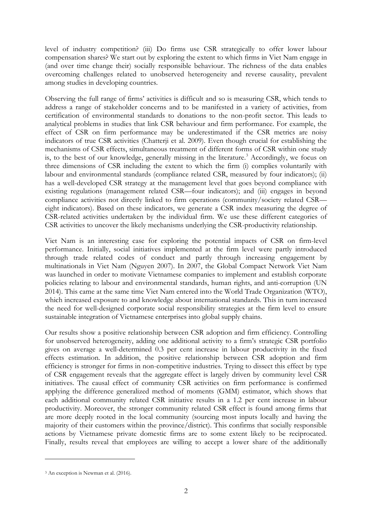level of industry competition? (iii) Do firms use CSR strategically to offer lower labour compensation shares? We start out by exploring the extent to which firms in Viet Nam engage in (and over time change their) socially responsible behaviour. The richness of the data enables overcoming challenges related to unobserved heterogeneity and reverse causality, prevalent among studies in developing countries.

Observing the full range of firms' activities is difficult and so is measuring CSR, which tends to address a range of stakeholder concerns and to be manifested in a variety of activities, from certification of environmental standards to donations to the non-profit sector. This leads to analytical problems in studies that link CSR behaviour and firm performance. For example, the effect of CSR on firm performance may be underestimated if the CSR metrics are noisy indicators of true CSR activities (Chatterji et al. 2009). Even though crucial for establishing the mechanisms of CSR effects, simultaneous treatment of different forms of CSR within one study is, to the best of our knowledge, generally missing in the literature.<sup>3</sup> Accordingly, we focus on three dimensions of CSR including the extent to which the firm (i) complies voluntarily with labour and environmental standards (compliance related CSR, measured by four indicators); (ii) has a well-developed CSR strategy at the management level that goes beyond compliance with existing regulations (management related CSR—four indicators); and (iii) engages in beyond compliance activities not directly linked to firm operations (community/society related CSR eight indicators). Based on these indicators, we generate a CSR index measuring the degree of CSR-related activities undertaken by the individual firm. We use these different categories of CSR activities to uncover the likely mechanisms underlying the CSR-productivity relationship.

Viet Nam is an interesting case for exploring the potential impacts of CSR on firm-level performance. Initially, social initiatives implemented at the firm level were partly introduced through trade related codes of conduct and partly through increasing engagement by multinationals in Viet Nam (Nguyen 2007). In 2007, the Global Compact Network Viet Nam was launched in order to motivate Vietnamese companies to implement and establish corporate policies relating to labour and environmental standards, human rights, and anti-corruption (UN 2014). This came at the same time Viet Nam entered into the World Trade Organization (WTO), which increased exposure to and knowledge about international standards. This in turn increased the need for well-designed corporate social responsibility strategies at the firm level to ensure sustainable integration of Vietnamese enterprises into global supply chains.

Our results show a positive relationship between CSR adoption and firm efficiency. Controlling for unobserved heterogeneity, adding one additional activity to a firm's strategic CSR portfolio gives on average a well-determined 0.3 per cent increase in labour productivity in the fixed effects estimation. In addition, the positive relationship between CSR adoption and firm efficiency is stronger for firms in non-competitive industries. Trying to dissect this effect by type of CSR engagement reveals that the aggregate effect is largely driven by community level CSR initiatives. The causal effect of community CSR activities on firm performance is confirmed applying the difference generalized method of moments (GMM) estimator, which shows that each additional community related CSR initiative results in a 1.2 per cent increase in labour productivity. Moreover, the stronger community related CSR effect is found among firms that are more deeply rooted in the local community (sourcing most inputs locally and having the majority of their customers within the province/district). This confirms that socially responsible actions by Vietnamese private domestic firms are to some extent likely to be reciprocated. Finally, results reveal that employees are willing to accept a lower share of the additionally

-

<sup>3</sup> An exception is Newman et al. (2016).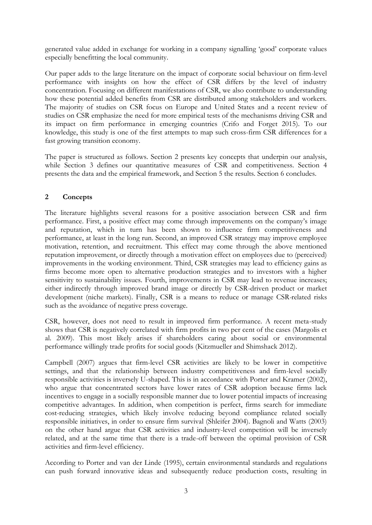generated value added in exchange for working in a company signalling 'good' corporate values especially benefitting the local community.

Our paper adds to the large literature on the impact of corporate social behaviour on firm-level performance with insights on how the effect of CSR differs by the level of industry concentration. Focusing on different manifestations of CSR, we also contribute to understanding how these potential added benefits from CSR are distributed among stakeholders and workers. The majority of studies on CSR focus on Europe and United States and a recent review of studies on CSR emphasize the need for more empirical tests of the mechanisms driving CSR and its impact on firm performance in emerging countries (Crifo and Forget 2015). To our knowledge, this study is one of the first attempts to map such cross-firm CSR differences for a fast growing transition economy.

The paper is structured as follows. Section 2 presents key concepts that underpin our analysis, while Section 3 defines our quantitative measures of CSR and competitiveness. Section 4 presents the data and the empirical framework, and Section 5 the results. Section 6 concludes.

# **2 Concepts**

The literature highlights several reasons for a positive association between CSR and firm performance. First, a positive effect may come through improvements on the company's image and reputation, which in turn has been shown to influence firm competitiveness and performance, at least in the long run. Second, an improved CSR strategy may improve employee motivation, retention, and recruitment. This effect may come through the above mentioned reputation improvement, or directly through a motivation effect on employees due to (perceived) improvements in the working environment. Third, CSR strategies may lead to efficiency gains as firms become more open to alternative production strategies and to investors with a higher sensitivity to sustainability issues. Fourth, improvements in CSR may lead to revenue increases; either indirectly through improved brand image or directly by CSR-driven product or market development (niche markets). Finally, CSR is a means to reduce or manage CSR*-*related risks such as the avoidance of negative press coverage.

CSR, however, does not need to result in improved firm performance. A recent meta-study shows that CSR is negatively correlated with firm profits in two per cent of the cases (Margolis et al. 2009). This most likely arises if shareholders caring about social or environmental performance willingly trade profits for social goods (Kitzmueller and Shimshack 2012).

Campbell (2007) argues that firm-level CSR activities are likely to be lower in competitive settings, and that the relationship between industry competitiveness and firm-level socially responsible activities is inversely U-shaped. This is in accordance with Porter and Kramer (2002), who argue that concentrated sectors have lower rates of CSR adoption because firms lack incentives to engage in a socially responsible manner due to lower potential impacts of increasing competitive advantages. In addition, when competition is perfect, firms search for immediate cost-reducing strategies, which likely involve reducing beyond compliance related socially responsible initiatives, in order to ensure firm survival (Shleifer 2004). Bagnoli and Watts (2003) on the other hand argue that CSR activities and industry-level competition will be inversely related, and at the same time that there is a trade-off between the optimal provision of CSR activities and firm-level efficiency.

According to Porter and van der Linde (1995), certain environmental standards and regulations can push forward innovative ideas and subsequently reduce production costs, resulting in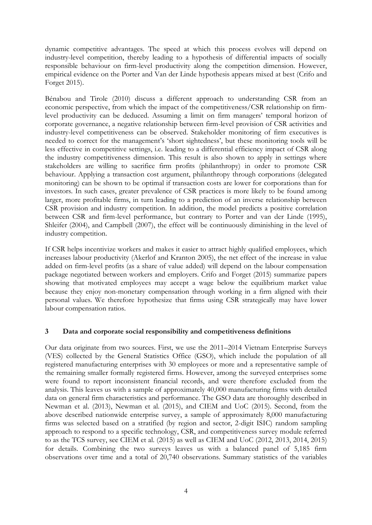dynamic competitive advantages. The speed at which this process evolves will depend on industry-level competition, thereby leading to a hypothesis of differential impacts of socially responsible behaviour on firm-level productivity along the competition dimension. However, empirical evidence on the Porter and Van der Linde hypothesis appears mixed at best (Crifo and Forget 2015).

Bénabou and Tirole (2010) discuss a different approach to understanding CSR from an economic perspective, from which the impact of the competitiveness/CSR relationship on firmlevel productivity can be deduced. Assuming a limit on firm managers' temporal horizon of corporate governance, a negative relationship between firm-level provision of CSR activities and industry-level competitiveness can be observed. Stakeholder monitoring of firm executives is needed to correct for the management's 'short sightedness', but these monitoring tools will be less effective in competitive settings, i.e. leading to a differential efficiency impact of CSR along the industry competitiveness dimension. This result is also shown to apply in settings where stakeholders are willing to sacrifice firm profits (philanthropy) in order to promote CSR behaviour. Applying a transaction cost argument, philanthropy through corporations (delegated monitoring) can be shown to be optimal if transaction costs are lower for corporations than for investors. In such cases, greater prevalence of CSR practices is more likely to be found among larger, more profitable firms, in turn leading to a prediction of an inverse relationship between CSR provision and industry competition. In addition, the model predicts a positive correlation between CSR and firm-level performance, but contrary to Porter and van der Linde (1995), Shleifer (2004), and Campbell (2007), the effect will be continuously diminishing in the level of industry competition.

If CSR helps incentivize workers and makes it easier to attract highly qualified employees, which increases labour productivity (Akerlof and Kranton 2005), the net effect of the increase in value added on firm-level profits (as a share of value added) will depend on the labour compensation package negotiated between workers and employers. Crifo and Forget (2015) summarize papers showing that motivated employees may accept a wage below the equilibrium market value because they enjoy non-monetary compensation through working in a firm aligned with their personal values. We therefore hypothesize that firms using CSR strategically may have lower labour compensation ratios.

# **3 Data and corporate social responsibility and competitiveness definitions**

Our data originate from two sources. First, we use the 2011–2014 Vietnam Enterprise Surveys (VES) collected by the General Statistics Office (GSO), which include the population of all registered manufacturing enterprises with 30 employees or more and a representative sample of the remaining smaller formally registered firms. However, among the surveyed enterprises some were found to report inconsistent financial records, and were therefore excluded from the analysis. This leaves us with a sample of approximately 40,000 manufacturing firms with detailed data on general firm characteristics and performance. The GSO data are thoroughly described in Newman et al. (2013), Newman et al. (2015), and CIEM and UoC (2015). Second, from the above described nationwide enterprise survey, a sample of approximately 8,000 manufacturing firms was selected based on a stratified (by region and sector, 2-digit ISIC) random sampling approach to respond to a specific technology, CSR, and competitiveness survey module referred to as the TCS survey, see CIEM et al. (2015) as well as CIEM and UoC (2012, 2013, 2014, 2015) for details. Combining the two surveys leaves us with a balanced panel of 5,185 firm observations over time and a total of 20,740 observations. Summary statistics of the variables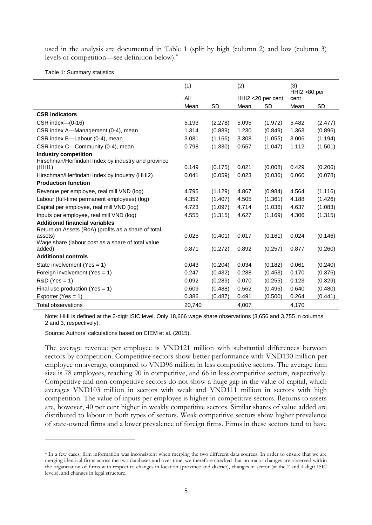used in the analysis are documented in Table 1 (split by high (column 2) and low (column 3) levels of competition—see definition below).<sup>4</sup>

#### Table 1: Summary statistics

|                                                                                                         | (1)    |         | (2)                |           | (3)<br>HHI2 >80 per |           |
|---------------------------------------------------------------------------------------------------------|--------|---------|--------------------|-----------|---------------------|-----------|
|                                                                                                         | All    |         | HHI2 < 20 per cent |           | cent                |           |
|                                                                                                         | Mean   | SD      | Mean               | <b>SD</b> | Mean                | <b>SD</b> |
| <b>CSR</b> indicators                                                                                   |        |         |                    |           |                     |           |
| $CSR$ index- $(0-16)$                                                                                   | 5.193  | (2.278) | 5.095              | (1.972)   | 5.482               | (2.477)   |
| CSR index A—Management (0-4), mean                                                                      | 1.314  | (0.889) | 1.230              | (0.849)   | 1.363               | (0.896)   |
| CSR index B-Labour (0-4), mean                                                                          | 3.081  | (1.166) | 3.308              | (1.055)   | 3.006               | (1.194)   |
| CSR index C-Community (0-4), mean                                                                       | 0.798  | (1.330) | 0.557              | (1.047)   | 1.112               | (1.501)   |
| <b>Industry competition</b><br>Hirschman/Herfindahl Index by industry and province<br>(HHI1)            | 0.149  | (0.175) | 0.021              | (0.008)   | 0.429               | (0.206)   |
| Hirschman/Herfindahl Index by industry (HHI2)                                                           | 0.041  | (0.059) | 0.023              | (0.036)   | 0.060               | (0.078)   |
| <b>Production function</b>                                                                              |        |         |                    |           |                     |           |
| Revenue per employee, real mill VND (log)                                                               | 4.795  | (1.129) | 4.867              | (0.984)   | 4.564               | (1.116)   |
| Labour (full-time permanent employees) (log)                                                            | 4.352  | (1.407) | 4.505              | (1.361)   | 4.188               | (1.426)   |
| Capital per employee, real mill VND (log)                                                               | 4.723  | (1.097) | 4.714              | (1.036)   | 4.637               | (1.083)   |
| Inputs per employee, real mill VND (log)                                                                | 4.555  | (1.315) | 4.627              | (1.169)   | 4.306               | (1.315)   |
| <b>Additional financial variables</b><br>Return on Assets (RoA) (profits as a share of total<br>assets) | 0.025  | (0.401) | 0.017              | (0.161)   | 0.024               | (0.146)   |
| Wage share (labour cost as a share of total value<br>added)                                             | 0.871  | (0.272) | 0.892              | (0.257)   | 0.877               | (0.260)   |
| <b>Additional controls</b>                                                                              |        |         |                    |           |                     |           |
| State involvement (Yes = $1$ )                                                                          | 0.043  | (0.204) | 0.034              | (0.182)   | 0.061               | (0.240)   |
| Foreign involvement (Yes = $1$ )                                                                        | 0.247  | (0.432) | 0.288              | (0.453)   | 0.170               | (0.376)   |
| $R&D(Yes = 1)$                                                                                          | 0.092  | (0.289) | 0.070              | (0.255)   | 0.123               | (0.329)   |
| Final use production (Yes = $1$ )                                                                       | 0.609  | (0.488) | 0.562              | (0.496)   | 0.640               | (0.480)   |
| Exporter (Yes = $1$ )                                                                                   | 0.386  | (0.487) | 0.491              | (0.500)   | 0.264               | (0.441)   |
| <b>Total observations</b>                                                                               | 20,740 |         | 4,007              |           | 4,170               |           |

Note: HHI is defined at the 2-digit ISIC level. Only 18,666 wage share observations (3,656 and 3,755 in columns 2 and 3, respectively).

Source: Authors' calculations based on CIEM et al. (2015).

-

The average revenue per employee is VND121 million with substantial differences between sectors by competition. Competitive sectors show better performance with VND130 million per employee on average, compared to VND96 million in less competitive sectors. The average firm size is 78 employees, reaching 90 in competitive, and 66 in less competitive sectors, respectively. Competitive and non-competitive sectors do not show a huge gap in the value of capital, which averages VND103 million in sectors with weak and VND111 million in sectors with high competition. The value of inputs per employee is higher in competitive sectors. Returns to assets are, however, 40 per cent higher in weakly competitive sectors. Similar shares of value added are distributed to labour in both types of sectors. Weak competitive sectors show higher prevalence of state-owned firms and a lower prevalence of foreign firms. Firms in these sectors tend to have

<sup>4</sup> In a few cases, firm information was inconsistent when merging the two different data sources. In order to ensure that we are merging identical firms across the two databases and over time, we therefore checked that no major changes are observed within the organization of firms with respect to changes in location (province and district), changes in sector (at the 2 and 4 digit ISIC levels), and changes in legal structure.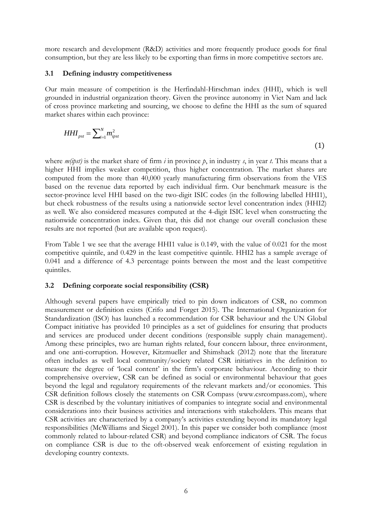more research and development (R&D) activities and more frequently produce goods for final consumption, but they are less likely to be exporting than firms in more competitive sectors are.

#### **3.1 Defining industry competitiveness**

Our main measure of competition is the Herfindahl-Hirschman index (HHI), which is well grounded in industrial organization theory. Given the province autonomy in Viet Nam and lack of cross province marketing and sourcing, we choose to define the HHI as the sum of squared market shares within each province:

$$
HHI_{pst} = \sum_{i=1}^{N} m_{ipst}^{2}
$$
 (1)

where *m(ipst)* is the market share of firm *i* in province *p*, in industry *s*, in year *t*. This means that a higher HHI implies weaker competition, thus higher concentration. The market shares are computed from the more than 40,000 yearly manufacturing firm observations from the VES based on the revenue data reported by each individual firm. Our benchmark measure is the sector-province level HHI based on the two-digit ISIC codes (in the following labelled HHI1), but check robustness of the results using a nationwide sector level concentration index (HHI2) as well. We also considered measures computed at the 4-digit ISIC level when constructing the nationwide concentration index. Given that, this did not change our overall conclusion these results are not reported (but are available upon request).

From Table 1 we see that the average HHI1 value is 0.149, with the value of 0.021 for the most competitive quintile, and 0.429 in the least competitive quintile. HHI2 has a sample average of 0.041 and a difference of 4.3 percentage points between the most and the least competitive quintiles.

#### **3.2 Defining corporate social responsibility (CSR)**

Although several papers have empirically tried to pin down indicators of CSR, no common measurement or definition exists (Crifo and Forget 2015). The International Organization for Standardization (ISO) has launched a recommendation for CSR behaviour and the UN Global Compact initiative has provided 10 principles as a set of guidelines for ensuring that products and services are produced under decent conditions (responsible supply chain management). Among these principles, two are human rights related, four concern labour, three environment, and one anti-corruption. However, Kitzmueller and Shimshack (2012) note that the literature often includes as well local community/society related CSR initiatives in the definition to measure the degree of 'local content' in the firm's corporate behaviour. According to their comprehensive overview, CSR can be defined as social or environmental behaviour that goes beyond the legal and regulatory requirements of the relevant markets and/or economies. This CSR definition follows closely the statements on CSR Compass [\(www.csrcompass.com\)](http://www.csrcompass.com/), where CSR is described by the voluntary initiatives of companies to integrate social and environmental considerations into their business activities and interactions with stakeholders. This means that CSR activities are characterized by a company's activities extending beyond its mandatory legal responsibilities (McWilliams and Siegel 2001). In this paper we consider both compliance (most commonly related to labour-related CSR) and beyond compliance indicators of CSR. The focus on compliance CSR is due to the oft-observed weak enforcement of existing regulation in developing country contexts.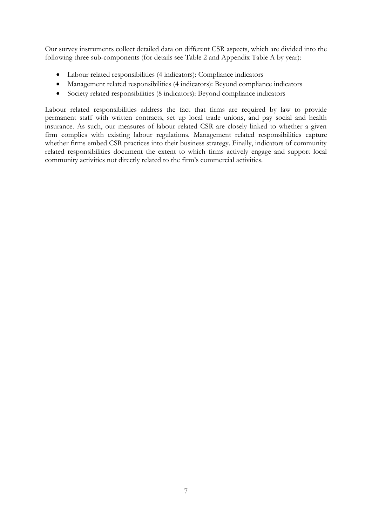Our survey instruments collect detailed data on different CSR aspects, which are divided into the following three sub-components (for details see Table 2 and Appendix Table A by year):

- Labour related responsibilities (4 indicators): Compliance indicators
- Management related responsibilities (4 indicators): Beyond compliance indicators
- Society related responsibilities (8 indicators): Beyond compliance indicators

Labour related responsibilities address the fact that firms are required by law to provide permanent staff with written contracts, set up local trade unions, and pay social and health insurance. As such, our measures of labour related CSR are closely linked to whether a given firm complies with existing labour regulations. Management related responsibilities capture whether firms embed CSR practices into their business strategy. Finally, indicators of community related responsibilities document the extent to which firms actively engage and support local community activities not directly related to the firm's commercial activities.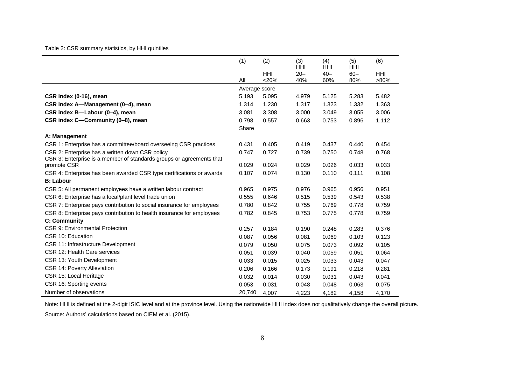## Table 2: CSR summary statistics, by HHI quintiles

|                                                                       | (1)           | (2)                   | (3)<br><b>HHI</b> | (4)<br><b>HHI</b> | (5)<br><b>HHI</b> | (6)                |
|-----------------------------------------------------------------------|---------------|-----------------------|-------------------|-------------------|-------------------|--------------------|
|                                                                       | All           | <b>HHI</b><br>$<$ 20% | $20 -$<br>40%     | $40 -$<br>60%     | $60 -$<br>80%     | <b>HHI</b><br>>80% |
|                                                                       | Average score |                       |                   |                   |                   |                    |
| CSR index (0-16), mean                                                | 5.193         | 5.095                 | 4.979             | 5.125             | 5.283             | 5.482              |
| CSR index A-Management (0-4), mean                                    | 1.314         | 1.230                 | 1.317             | 1.323             | 1.332             | 1.363              |
| CSR index B-Labour (0-4), mean                                        | 3.081         | 3.308                 | 3.000             | 3.049             | 3.055             | 3.006              |
| CSR index C-Community (0-8), mean                                     | 0.798         | 0.557                 | 0.663             | 0.753             | 0.896             | 1.112              |
|                                                                       | Share         |                       |                   |                   |                   |                    |
| A: Management                                                         |               |                       |                   |                   |                   |                    |
| CSR 1: Enterprise has a committee/board overseeing CSR practices      | 0.431         | 0.405                 | 0.419             | 0.437             | 0.440             | 0.454              |
| CSR 2: Enterprise has a written down CSR policy                       | 0.747         | 0.727                 | 0.739             | 0.750             | 0.748             | 0.768              |
| CSR 3: Enterprise is a member of standards groups or agreements that  |               |                       |                   |                   |                   |                    |
| promote CSR                                                           | 0.029         | 0.024                 | 0.029             | 0.026             | 0.033             | 0.033              |
| CSR 4: Enterprise has been awarded CSR type certifications or awards  | 0.107         | 0.074                 | 0.130             | 0.110             | 0.111             | 0.108              |
| <b>B: Labour</b>                                                      |               |                       |                   |                   |                   |                    |
| CSR 5: All permanent employees have a written labour contract         | 0.965         | 0.975                 | 0.976             | 0.965             | 0.956             | 0.951              |
| CSR 6: Enterprise has a local/plant level trade union                 | 0.555         | 0.646                 | 0.515             | 0.539             | 0.543             | 0.538              |
| CSR 7: Enterprise pays contribution to social insurance for employees | 0.780         | 0.842                 | 0.755             | 0.769             | 0.778             | 0.759              |
| CSR 8: Enterprise pays contribution to health insurance for employees | 0.782         | 0.845                 | 0.753             | 0.775             | 0.778             | 0.759              |
| <b>C: Community</b>                                                   |               |                       |                   |                   |                   |                    |
| CSR 9: Environmental Protection                                       | 0.257         | 0.184                 | 0.190             | 0.248             | 0.283             | 0.376              |
| CSR 10: Education                                                     | 0.087         | 0.056                 | 0.081             | 0.069             | 0.103             | 0.123              |
| CSR 11: Infrastructure Development                                    | 0.079         | 0.050                 | 0.075             | 0.073             | 0.092             | 0.105              |
| CSR 12: Health Care services                                          | 0.051         | 0.039                 | 0.040             | 0.059             | 0.051             | 0.064              |
| CSR 13: Youth Development                                             | 0.033         | 0.015                 | 0.025             | 0.033             | 0.043             | 0.047              |
| CSR 14: Poverty Alleviation                                           | 0.206         | 0.166                 | 0.173             | 0.191             | 0.218             | 0.281              |
| CSR 15: Local Heritage                                                | 0.032         | 0.014                 | 0.030             | 0.031             | 0.043             | 0.041              |
| CSR 16: Sporting events                                               | 0.053         | 0.031                 | 0.048             | 0.048             | 0.063             | 0.075              |
| Number of observations                                                | 20,740        | 4,007                 | 4,223             | 4,182             | 4,158             | 4,170              |

Note: HHI is defined at the 2-digit ISIC level and at the province level. Using the nationwide HHI index does not qualitatively change the overall picture. Source: Authors' calculations based on CIEM et al. (2015).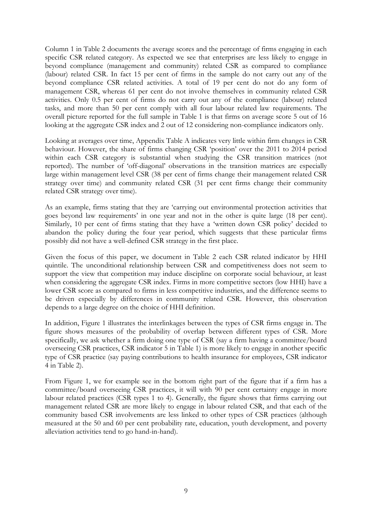Column 1 in Table 2 documents the average scores and the percentage of firms engaging in each specific CSR related category. As expected we see that enterprises are less likely to engage in beyond compliance (management and community) related CSR as compared to compliance (labour) related CSR. In fact 15 per cent of firms in the sample do not carry out any of the beyond compliance CSR related activities. A total of 19 per cent do not do any form of management CSR, whereas 61 per cent do not involve themselves in community related CSR activities. Only 0.5 per cent of firms do not carry out any of the compliance (labour) related tasks, and more than 50 per cent comply with all four labour related law requirements. The overall picture reported for the full sample in Table 1 is that firms on average score 5 out of 16 looking at the aggregate CSR index and 2 out of 12 considering non-compliance indicators only.

Looking at averages over time, Appendix Table A indicates very little within firm changes in CSR behaviour. However, the share of firms changing CSR 'position' over the 2011 to 2014 period within each CSR category is substantial when studying the CSR transition matrices (not reported). The number of 'off-diagonal' observations in the transition matrices are especially large within management level CSR (38 per cent of firms change their management related CSR strategy over time) and community related CSR (31 per cent firms change their community related CSR strategy over time).

As an example, firms stating that they are 'carrying out environmental protection activities that goes beyond law requirements' in one year and not in the other is quite large (18 per cent). Similarly, 10 per cent of firms stating that they have a 'written down CSR policy' decided to abandon the policy during the four year period, which suggests that these particular firms possibly did not have a well-defined CSR strategy in the first place.

Given the focus of this paper, we document in Table 2 each CSR related indicator by HHI quintile. The unconditional relationship between CSR and competitiveness does not seem to support the view that competition may induce discipline on corporate social behaviour, at least when considering the aggregate CSR index. Firms in more competitive sectors (low HHI) have a lower CSR score as compared to firms in less competitive industries, and the difference seems to be driven especially by differences in community related CSR. However, this observation depends to a large degree on the choice of HHI definition.

In addition, Figure 1 illustrates the interlinkages between the types of CSR firms engage in. The figure shows measures of the probability of overlap between different types of CSR. More specifically, we ask whether a firm doing one type of CSR (say a firm having a committee/board overseeing CSR practices, CSR indicator 5 in Table 1) is more likely to engage in another specific type of CSR practice (say paying contributions to health insurance for employees, CSR indicator 4 in Table 2).

From Figure 1, we for example see in the bottom right part of the figure that if a firm has a committee/board overseeing CSR practices, it will with 90 per cent certainty engage in more labour related practices (CSR types 1 to 4). Generally, the figure shows that firms carrying out management related CSR are more likely to engage in labour related CSR, and that each of the community based CSR involvements are less linked to other types of CSR practices (although measured at the 50 and 60 per cent probability rate, education, youth development, and poverty alleviation activities tend to go hand-in-hand).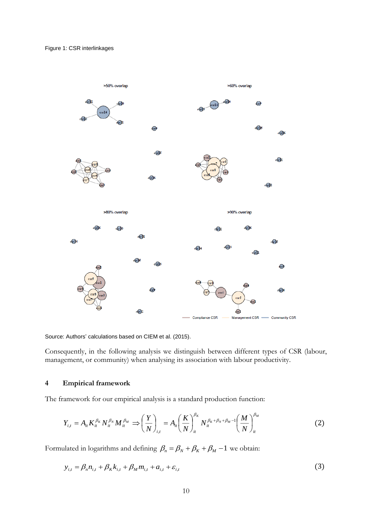

Source: Authors' calculations based on CIEM et al. (2015).

Consequently, in the following analysis we distinguish between different types of CSR (labour, management, or community) when analysing its association with labour productivity.

## **4 Empirical framework**

The framework for our empirical analysis is a standard production function:

$$
Y_{i,t} = A_{it} K_{it}^{\beta_K} N_{it}^{\beta_N} M_{it}^{\beta_M} \implies \left(\frac{Y}{N}\right)_{i,t} = A_{it} \left(\frac{K}{N}\right)_{it}^{\beta_K} N_{it}^{\beta_K + \beta_N + \beta_M - 1} \left(\frac{M}{N}\right)_{it}^{\beta_M}
$$
(2)

Formulated in logarithms and defining  $\beta_n = \beta_N + \beta_K + \beta_M - 1$  we obtain:

$$
y_{i,t} = \beta_n n_{i,t} + \beta_K k_{i,t} + \beta_M m_{i,t} + a_{i,t} + \varepsilon_{i,t}
$$
 (3)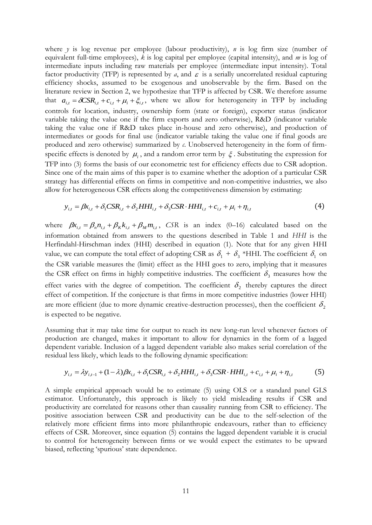where *y* is log revenue per employee (labour productivity), *n* is log firm size (number of equivalent full-time employees), *k* is log capital per employee (capital intensity), and *m* is log of intermediate inputs including raw materials per employee (intermediate input intensity). Total factor productivity (TFP) is represented by  $a$ , and  $\varepsilon$  is a serially uncorrelated residual capturing efficiency shocks, assumed to be exogenous and unobservable by the firm. Based on the literature review in Section 2, we hypothesize that TFP is affected by CSR. We therefore assume that  $a_{i,t} = \delta \text{CSR}_{i,t} + c_{i,t} + \mu_i + \xi_{i,t}$ , where we allow for heterogeneity in TFP by including controls for location, industry, ownership form (state or foreign), exporter status (indicator variable taking the value one if the firm exports and zero otherwise), R&D (indicator variable taking the value one if R&D takes place in-house and zero otherwise), and production of intermediates or goods for final use (indicator variable taking the value one if final goods are produced and zero otherwise) summarized by *c*. Unobserved heterogeneity in the form of firmspecific effects is denoted by  $\mu_i$ , and a random error term by  $\xi$ . Substituting the expression for TFP into (3) forms the basis of our econometric test for efficiency effects due to CSR adoption. Since one of the main aims of this paper is to examine whether the adoption of a particular CSR strategy has differential effects on firms in competitive and non-competitive industries, we also allow for heterogeneous CSR effects along the competitiveness dimension by estimating:

$$
y_{i,t} = \beta x_{i,t} + \delta_1 \text{CSR}_{i,t} + \delta_2 H H I_{i,t} + \delta_3 \text{CSR} \cdot H H I_{i,t} + c_{i,t} + \mu_i + \eta_{i,t} \tag{4}
$$

where  $\beta x_{i,t} = \beta_n n_{i,t} + \beta_k k_{i,t} + \beta_m m_{i,t}$ , CSR is an index (0–16) calculated based on the information obtained from answers to the questions described in Table 1 and *HHI* is the Herfindahl-Hirschman index (HHI) described in equation (1). Note that for any given HHI value, we can compute the total effect of adopting CSR as  $\delta_1 + \delta_3$  \*HHI. The coefficient  $\delta_1$  on the CSR variable measures the (limit) effect as the HHI goes to zero, implying that it measures the CSR effect on firms in highly competitive industries. The coefficient  $\delta_3$  measures how the effect varies with the degree of competition. The coefficient  $\delta_2$  thereby captures the direct effect of competition. If the conjecture is that firms in more competitive industries (lower HHI) are more efficient (due to more dynamic creative-destruction processes), then the coefficient  $\delta_{\rm z}$ is expected to be negative.

Assuming that it may take time for output to reach its new long-run level whenever factors of production are changed, makes it important to allow for dynamics in the form of a lagged dependent variable. Inclusion of a lagged dependent variable also makes serial correlation of the residual less likely, which leads to the following dynamic specification:

$$
y_{i,t} = \lambda y_{i,t-1} + (1 - \lambda) \beta x_{i,t} + \delta_1 \text{CSR}_{i,t} + \delta_2 H H I_{i,t} + \delta_3 \text{CSR} \cdot H H I_{i,t} + c_{i,t} + \mu_i + \eta_{i,t} \tag{5}
$$

A simple empirical approach would be to estimate (5) using OLS or a standard panel GLS estimator. Unfortunately, this approach is likely to yield misleading results if CSR and productivity are correlated for reasons other than causality running from CSR to efficiency. The positive association between CSR and productivity can be due to the self-selection of the relatively more efficient firms into more philanthropic endeavours, rather than to efficiency effects of CSR. Moreover, since equation (5) contains the lagged dependent variable it is crucial to control for heterogeneity between firms or we would expect the estimates to be upward biased, reflecting 'spurious' state dependence.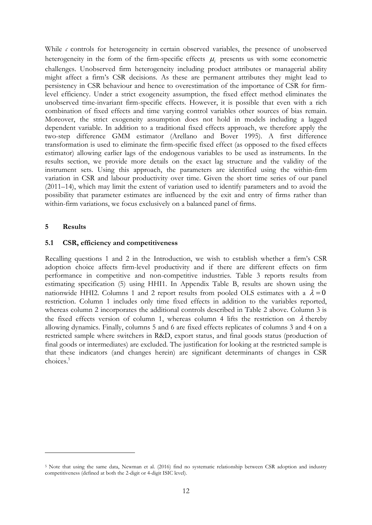While *c* controls for heterogeneity in certain observed variables, the presence of unobserved heterogeneity in the form of the firm-specific effects  $\mu_i$  presents us with some econometric challenges. Unobserved firm heterogeneity including product attributes or managerial ability might affect a firm's CSR decisions. As these are permanent attributes they might lead to persistency in CSR behaviour and hence to overestimation of the importance of CSR for firmlevel efficiency. Under a strict exogeneity assumption, the fixed effect method eliminates the unobserved time-invariant firm-specific effects. However, it is possible that even with a rich combination of fixed effects and time varying control variables other sources of bias remain. Moreover, the strict exogeneity assumption does not hold in models including a lagged dependent variable. In addition to a traditional fixed effects approach, we therefore apply the two-step difference GMM estimator (Arellano and Bover 1995). A first difference transformation is used to eliminate the firm-specific fixed effect (as opposed to the fixed effects estimator) allowing earlier lags of the endogenous variables to be used as instruments. In the results section, we provide more details on the exact lag structure and the validity of the instrument sets. Using this approach, the parameters are identified using the within-firm variation in CSR and labour productivity over time. Given the short time series of our panel (2011–14), which may limit the extent of variation used to identify parameters and to avoid the possibility that parameter estimates are influenced by the exit and entry of firms rather than within-firm variations, we focus exclusively on a balanced panel of firms.

## **5 Results**

-

## **5.1 CSR, efficiency and competitiveness**

Recalling questions 1 and 2 in the Introduction, we wish to establish whether a firm's CSR adoption choice affects firm-level productivity and if there are different effects on firm performance in competitive and non-competitive industries. Table 3 reports results from estimating specification (5) using HHI1. In Appendix Table B, results are shown using the nationwide HHI2. Columns 1 and 2 report results from pooled OLS estimates with a  $\lambda = 0$ restriction. Column 1 includes only time fixed effects in addition to the variables reported, whereas column 2 incorporates the additional controls described in Table 2 above. Column 3 is the fixed effects version of column 1, whereas column 4 lifts the restriction on  $\lambda$  thereby allowing dynamics. Finally, columns 5 and 6 are fixed effects replicates of columns 3 and 4 on a restricted sample where switchers in R&D, export status, and final goods status (production of final goods or intermediates) are excluded. The justification for looking at the restricted sample is that these indicators (and changes herein) are significant determinants of changes in CSR choices.<sup>5</sup>

<sup>5</sup> Note that using the same data, Newman et al. (2016) find no systematic relationship between CSR adoption and industry competitiveness (defined at both the 2-digit or 4-digit ISIC level).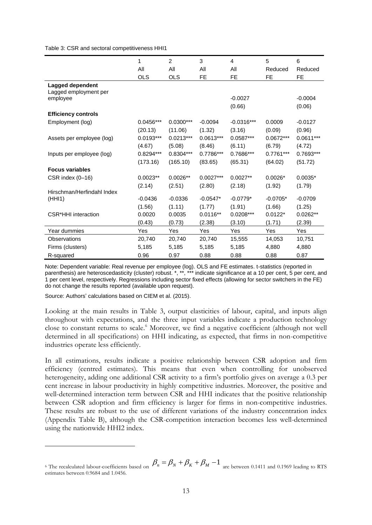Table 3: CSR and sectoral competitiveness HHI1

|                                           | 1           | 2           | 3           | 4            | 5           | 6           |
|-------------------------------------------|-------------|-------------|-------------|--------------|-------------|-------------|
|                                           | All         | All         | All         | All          | Reduced     | Reduced     |
|                                           | <b>OLS</b>  | <b>OLS</b>  | <b>FE</b>   | <b>FE</b>    | FE          | <b>FE</b>   |
| Lagged dependent<br>Lagged employment per |             |             |             |              |             |             |
| employee                                  |             |             |             | $-0.0027$    |             | $-0.0004$   |
|                                           |             |             |             | (0.66)       |             | (0.06)      |
| <b>Efficiency controls</b>                |             |             |             |              |             |             |
| Employment (log)                          | $0.0456***$ | $0.0300***$ | $-0.0094$   | $-0.0316***$ | 0.0009      | $-0.0127$   |
|                                           | (20.13)     | (11.06)     | (1.32)      | (3.16)       | (0.09)      | (0.96)      |
| Assets per employee (log)                 | $0.0193***$ | $0.0213***$ | $0.0613***$ | $0.0587***$  | $0.0672***$ | $0.0611***$ |
|                                           | (4.67)      | (5.08)      | (8.46)      | (6.11)       | (6.79)      | (4.72)      |
| Inputs per employee (log)                 | 0.8294***   | 0.8304***   | 0.7786***   | 0.7686***    | 0.7761***   | 0.7693***   |
|                                           | (173.16)    | (165.10)    | (83.65)     | (65.31)      | (64.02)     | (51.72)     |
| <b>Focus variables</b>                    |             |             |             |              |             |             |
| CSR index (0-16)                          | $0.0023**$  | $0.0026**$  | $0.0027***$ | $0.0027**$   | $0.0026*$   | $0.0035*$   |
|                                           | (2.14)      | (2.51)      | (2.80)      | (2.18)       | (1.92)      | (1.79)      |
| Hirschman/Herfindahl Index                |             |             |             |              |             |             |
| (HHI1)                                    | $-0.0436$   | $-0.0336$   | $-0.0547*$  | $-0.0779*$   | $-0.0705*$  | $-0.0709$   |
|                                           | (1.56)      | (1.11)      | (1.77)      | (1.91)       | (1.66)      | (1.25)      |
| <b>CSR*HHI</b> interaction                | 0.0020      | 0.0035      | $0.0116**$  | $0.0208***$  | $0.0122*$   | $0.0262**$  |
|                                           | (0.43)      | (0.73)      | (2.38)      | (3.10)       | (1.71)      | (2.39)      |
| Year dummies                              | Yes         | Yes         | Yes         | Yes          | Yes         | Yes         |
| <b>Observations</b>                       | 20,740      | 20,740      | 20,740      | 15,555       | 14,053      | 10,751      |
| Firms (clusters)                          | 5,185       | 5,185       | 5,185       | 5,185        | 4,880       | 4,880       |
| R-squared                                 | 0.96        | 0.97        | 0.88        | 0.88         | 0.88        | 0.87        |

Note: Dependent variable: Real revenue per employee (log). OLS and FE estimates. t-statistics (reported in parenthesis) are heteroscedasticity (cluster) robust. \*, \*\*, \*\*\* indicate significance at a 10 per cent, 5 per cent, and 1 per cent level, respectively. Regressions including sector fixed effects (allowing for sector switchers in the FE) do not change the results reported (available upon request).

Source: Authors' calculations based on CIEM et al. (2015).

-

Looking at the main results in Table 3, output elasticities of labour, capital, and inputs align throughout with expectations, and the three input variables indicate a production technology close to constant returns to scale.<sup>6</sup> Moreover, we find a negative coefficient (although not well determined in all specifications) on HHI indicating, as expected, that firms in non-competitive industries operate less efficiently.

In all estimations, results indicate a positive relationship between CSR adoption and firm efficiency (centred estimates). This means that even when controlling for unobserved heterogeneity, adding one additional CSR activity to a firm's portfolio gives on average a 0.3 per cent increase in labour productivity in highly competitive industries. Moreover, the positive and well-determined interaction term between CSR and HHI indicates that the positive relationship between CSR adoption and firm efficiency is larger for firms in non-competitive industries. These results are robust to the use of different variations of the industry concentration index (Appendix Table B), although the CSR-competition interaction becomes less well-determined using the nationwide HHI2 index.

<sup>&</sup>lt;sup>6</sup> The recalculated labour-coefficients based on  $\beta_n = \beta_N + \beta_K + \beta_M - 1$  are between 0.1411 and 0.1969 leading to RTS estimates between 0.9684 and 1.0456.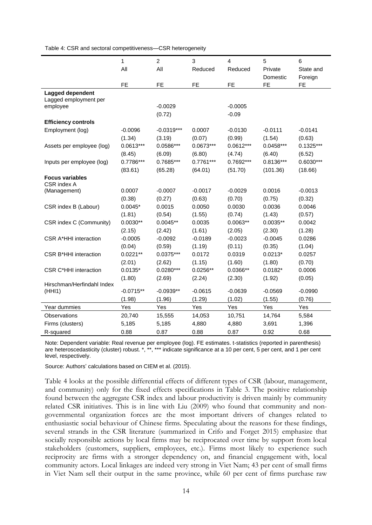Table 4: CSR and sectoral competitiveness—CSR heterogeneity

|                              | $\mathbf{1}$ | $\overline{c}$ | 3           | $\overline{4}$ | 5           | 6           |
|------------------------------|--------------|----------------|-------------|----------------|-------------|-------------|
|                              | All          | All            | Reduced     | Reduced        | Private     | State and   |
|                              |              |                |             |                | Domestic    | Foreign     |
|                              | <b>FE</b>    | <b>FE</b>      | <b>FE</b>   | FE             | <b>FE</b>   | <b>FE</b>   |
| Lagged dependent             |              |                |             |                |             |             |
| Lagged employment per        |              |                |             |                |             |             |
| employee                     |              | $-0.0029$      |             | $-0.0005$      |             |             |
|                              |              | (0.72)         |             | $-0.09$        |             |             |
| <b>Efficiency controls</b>   |              |                |             |                |             |             |
| Employment (log)             | $-0.0096$    | $-0.0319***$   | 0.0007      | $-0.0130$      | $-0.0111$   | $-0.0141$   |
|                              | (1.34)       | (3.19)         | (0.07)      | (0.99)         | (1.54)      | (0.63)      |
| Assets per employee (log)    | $0.0613***$  | 0.0586***      | $0.0673***$ | $0.0612***$    | $0.0458***$ | $0.1325***$ |
|                              | (8.45)       | (6.09)         | (6.80)      | (4.74)         | (6.40)      | (6.52)      |
| Inputs per employee (log)    | 0.7786***    | $0.7685***$    | $0.7761***$ | 0.7692***      | $0.8136***$ | $0.6030***$ |
|                              | (83.61)      | (65.28)        | (64.01)     | (51.70)        | (101.36)    | (18.66)     |
| <b>Focus variables</b>       |              |                |             |                |             |             |
| CSR index A                  |              |                |             |                |             |             |
| (Management)                 | 0.0007       | $-0.0007$      | $-0.0017$   | $-0.0029$      | 0.0016      | $-0.0013$   |
|                              | (0.38)       | (0.27)         | (0.63)      | (0.70)         | (0.75)      | (0.32)      |
| CSR index B (Labour)         | $0.0045*$    | 0.0015         | 0.0050      | 0.0030         | 0.0036      | 0.0046      |
|                              | (1.81)       | (0.54)         | (1.55)      | (0.74)         | (1.43)      | (0.57)      |
| CSR index C (Community)      | $0.0030**$   | $0.0045**$     | 0.0035      | $0.0063**$     | $0.0035**$  | 0.0042      |
|                              | (2.15)       | (2.42)         | (1.61)      | (2.05)         | (2.30)      | (1.28)      |
| CSR A*HHI interaction        | $-0.0005$    | $-0.0092$      | $-0.0189$   | $-0.0023$      | $-0.0045$   | 0.0286      |
|                              | (0.04)       | (0.59)         | (1.19)      | (0.11)         | (0.35)      | (1.04)      |
| <b>CSR B*HHI interaction</b> | $0.0221**$   | $0.0375***$    | 0.0172      | 0.0319         | $0.0213*$   | 0.0257      |
|                              | (2.01)       | (2.62)         | (1.15)      | (1.60)         | (1.80)      | (0.70)      |
| <b>CSR C*HHI interaction</b> | $0.0135*$    | $0.0280***$    | $0.0256**$  | 0.0366**       | $0.0182*$   | 0.0006      |
|                              | (1.80)       | (2.69)         | (2.24)      | (2.30)         | (1.92)      | (0.05)      |
| Hirschman/Herfindahl Index   |              |                |             |                |             |             |
| (HHI1)                       | $-0.0715**$  | $-0.0939**$    | $-0.0615$   | $-0.0639$      | $-0.0569$   | $-0.0990$   |
|                              | (1.98)       | (1.96)         | (1.29)      | (1.02)         | (1.55)      | (0.76)      |
| Year dummies                 | Yes          | Yes            | Yes         | Yes            | Yes         | Yes         |
| Observations                 | 20,740       | 15,555         | 14,053      | 10,751         | 14,764      | 5,584       |
| Firms (clusters)             | 5,185        | 5,185          | 4,880       | 4,880          | 3,691       | 1,396       |
| R-squared                    | 0.88         | 0.87           | 0.88        | 0.87           | 0.92        | 0.68        |

Note: Dependent variable: Real revenue per employee (log). FE estimates. t-statistics (reported in parenthesis) are heteroscedasticity (cluster) robust. \*, \*\*, \*\*\* indicate significance at a 10 per cent, 5 per cent, and 1 per cent level, respectively.

Source: Authors' calculations based on CIEM et al. (2015).

Table 4 looks at the possible differential effects of different types of CSR (labour, management, and community) only for the fixed effects specifications in Table 3. The positive relationship found between the aggregate CSR index and labour productivity is driven mainly by community related CSR initiatives. This is in line with Liu (2009) who found that community and nongovernmental organization forces are the most important drivers of changes related to enthusiastic social behaviour of Chinese firms. Speculating about the reasons for these findings, several strands in the CSR literature (summarized in Crifo and Forget 2015) emphasize that socially responsible actions by local firms may be reciprocated over time by support from local stakeholders (customers, suppliers, employees, etc.). Firms most likely to experience such reciprocity are firms with a stronger dependency on, and financial engagement with, local community actors. Local linkages are indeed very strong in Viet Nam; 43 per cent of small firms in Viet Nam sell their output in the same province, while 60 per cent of firms purchase raw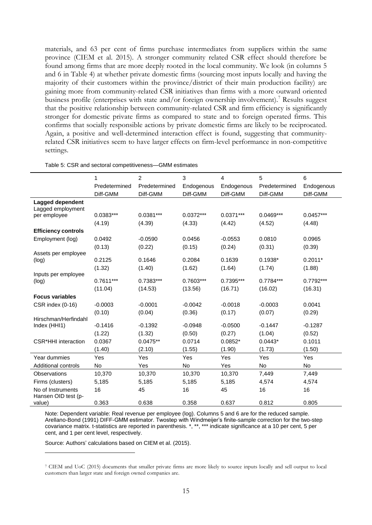materials, and 63 per cent of firms purchase intermediates from suppliers within the same province (CIEM et al. 2015). A stronger community related CSR effect should therefore be found among firms that are more deeply rooted in the local community. We look (in columns 5 and 6 in Table 4) at whether private domestic firms (sourcing most inputs locally and having the majority of their customers within the province/district of their main production facility) are gaining more from community-related CSR initiatives than firms with a more outward oriented business profile (enterprises with state and/or foreign ownership involvement).<sup>7</sup> Results suggest that the positive relationship between community-related CSR and firm efficiency is significantly stronger for domestic private firms as compared to state and to foreign operated firms. This confirms that socially responsible actions by private domestic firms are likely to be reciprocated. Again, a positive and well-determined interaction effect is found, suggesting that communityrelated CSR initiatives seem to have larger effects on firm-level performance in non-competitive settings.

| Table 5: CSR and sectoral competitiveness-GMM estimates |  |  |
|---------------------------------------------------------|--|--|
|---------------------------------------------------------|--|--|

|                            | 1             | 2             | 3           | 4           | 5             | 6           |
|----------------------------|---------------|---------------|-------------|-------------|---------------|-------------|
|                            | Predetermined | Predetermined | Endogenous  | Endogenous  | Predetermined | Endogenous  |
|                            | Diff-GMM      | Diff-GMM      | Diff-GMM    | Diff-GMM    | Diff-GMM      | Diff-GMM    |
| Lagged dependent           |               |               |             |             |               |             |
| Lagged employment          |               |               |             |             |               |             |
| per employee               | $0.0383***$   | $0.0381***$   | $0.0372***$ | $0.0371***$ | $0.0469***$   | $0.0457***$ |
|                            | (4.19)        | (4.39)        | (4.33)      | (4.42)      | (4.52)        | (4.48)      |
| <b>Efficiency controls</b> |               |               |             |             |               |             |
| Employment (log)           | 0.0492        | $-0.0590$     | 0.0456      | $-0.0553$   | 0.0810        | 0.0965      |
|                            | (0.13)        | (0.22)        | (0.15)      | (0.24)      | (0.31)        | (0.39)      |
| Assets per employee        |               |               |             |             |               |             |
| (log)                      | 0.2125        | 0.1646        | 0.2084      | 0.1639      | $0.1938*$     | $0.2011*$   |
| Inputs per employee        | (1.32)        | (1.40)        | (1.62)      | (1.64)      | (1.74)        | (1.88)      |
| (log)                      | $0.7611***$   | 0.7383***     | 0.7603***   | 0.7395***   | $0.7784***$   | $0.7792***$ |
|                            | (11.04)       | (14.53)       | (13.56)     | (16.71)     | (16.02)       | (16.31)     |
| <b>Focus variables</b>     |               |               |             |             |               |             |
| CSR index (0-16)           | $-0.0003$     | $-0.0001$     | $-0.0042$   | $-0.0018$   | $-0.0003$     | 0.0041      |
|                            | (0.10)        | (0.04)        | (0.36)      | (0.17)      | (0.07)        | (0.29)      |
| Hirschman/Herfindahl       |               |               |             |             |               |             |
| Index (HHI1)               | $-0.1416$     | $-0.1392$     | $-0.0948$   | $-0.0500$   | $-0.1447$     | $-0.1287$   |
|                            | (1.22)        | (1.32)        | (0.50)      | (0.27)      | (1.04)        | (0.52)      |
| <b>CSR*HHI</b> interaction | 0.0367        | $0.0475**$    | 0.0714      | $0.0852*$   | $0.0443*$     | 0.1011      |
|                            | (1.40)        | (2.10)        | (1.55)      | (1.90)      | (1.73)        | (1.50)      |
| Year dummies               | Yes           | Yes           | Yes         | Yes         | Yes           | Yes         |
| Additional controls        | No            | Yes           | No          | Yes         | No            | No          |
| <b>Observations</b>        | 10,370        | 10,370        | 10,370      | 10,370      | 7,449         | 7,449       |
| Firms (clusters)           | 5,185         | 5,185         | 5,185       | 5,185       | 4,574         | 4,574       |
| No of Instruments          | 16            | 45            | 16          | 45          | 16            | 16          |
| Hansen OID test (p-        |               |               |             |             |               |             |
| value)                     | 0.363         | 0.638         | 0.358       | 0.637       | 0.812         | 0.805       |

Note: Dependent variable: Real revenue per employee (log). Columns 5 and 6 are for the reduced sample. Arellano-Bond (1991) DIFF-GMM estimator. Twostep with Windmeijer's finite-sample correction for the two-step covariance matrix. t-statistics are reported in parenthesis. \*, \*\*, \*\*\* indicate significance at a 10 per cent, 5 per cent, and 1 per cent level, respectively.

Source: Authors' calculations based on CIEM et al. (2015).

-

<sup>7</sup> CIEM and UoC (2015) documents that smaller private firms are more likely to source inputs locally and sell output to local customers than larger state and foreign owned companies are.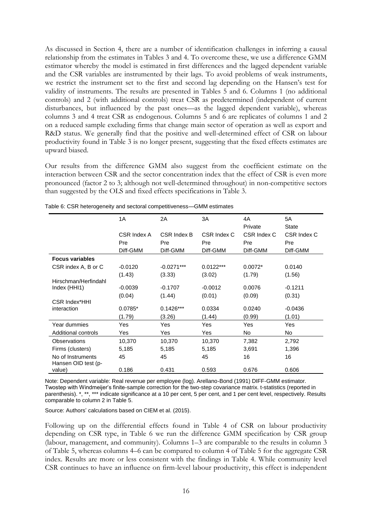As discussed in Section 4, there are a number of identification challenges in inferring a causal relationship from the estimates in Tables 3 and 4. To overcome these, we use a difference GMM estimator whereby the model is estimated in first differences and the lagged dependent variable and the CSR variables are instrumented by their lags. To avoid problems of weak instruments, we restrict the instrument set to the first and second lag depending on the Hansen's test for validity of instruments. The results are presented in Tables 5 and 6. Columns 1 (no additional controls) and 2 (with additional controls) treat CSR as predetermined (independent of current disturbances, but influenced by the past ones—as the lagged dependent variable), whereas columns 3 and 4 treat CSR as endogenous. Columns 5 and 6 are replicates of columns 1 and 2 on a reduced sample excluding firms that change main sector of operation as well as export and R&D status. We generally find that the positive and well-determined effect of CSR on labour productivity found in Table 3 is no longer present, suggesting that the fixed effects estimates are upward biased.

Our results from the difference GMM also suggest from the coefficient estimate on the interaction between CSR and the sector concentration index that the effect of CSR is even more pronounced (factor 2 to 3; although not well-determined throughout) in non-competitive sectors than suggested by the OLS and fixed effects specifications in Table 3.

|                                          | 1A          | 2A           | 3A          | 4A          | 5A           |
|------------------------------------------|-------------|--------------|-------------|-------------|--------------|
|                                          |             |              |             | Private     | <b>State</b> |
|                                          | CSR Index A | CSR Index B  | CSR Index C | CSR Index C | CSR Index C  |
|                                          | Pre         | Pre          | Pre         | Pre         | Pre          |
|                                          | Diff-GMM    | Diff-GMM     | Diff-GMM    | Diff-GMM    | Diff-GMM     |
| <b>Focus variables</b>                   |             |              |             |             |              |
| CSR index A, B or C                      | $-0.0120$   | $-0.0271***$ | $0.0122***$ | $0.0072*$   | 0.0140       |
|                                          | (1.43)      | (3.33)       | (3.02)      | (1.79)      | (1.56)       |
| Hirschman/Herfindahl                     |             |              |             |             |              |
| Index (HHI1)                             | $-0.0039$   | $-0.1707$    | $-0.0012$   | 0.0076      | $-0.1211$    |
|                                          | (0.04)      | (1.44)       | (0.01)      | (0.09)      | (0.31)       |
| <b>CSR Index*HHI</b>                     |             |              |             |             |              |
| interaction                              | $0.0785*$   | $0.1426***$  | 0.0334      | 0.0240      | $-0.0436$    |
|                                          | (1.79)      | (3.26)       | (1.44)      | (0.99)      | (1.01)       |
| Year dummies                             | Yes         | Yes          | Yes         | Yes         | Yes          |
| Additional controls                      | Yes         | Yes          | Yes         | No          | No.          |
| Observations                             | 10,370      | 10,370       | 10,370      | 7,382       | 2,792        |
| Firms (clusters)                         | 5,185       | 5,185        | 5,185       | 3,691       | 1,396        |
| No of Instruments<br>Hansen OID test (p- | 45          | 45           | 45          | 16          | 16           |
| value)                                   | 0.186       | 0.431        | 0.593       | 0.676       | 0.606        |

Note: Dependent variable: Real revenue per employee (log). Arellano-Bond (1991) DIFF-GMM estimator. Twostep with Windmeijer's finite-sample correction for the two-step covariance matrix. t-statistics (reported in parenthesis). \*, \*\*, \*\*\* indicate significance at a 10 per cent, 5 per cent, and 1 per cent level, respectively. Results comparable to column 2 in Table 5.

Source: Authors' calculations based on CIEM et al. (2015).

Following up on the differential effects found in Table 4 of CSR on labour productivity depending on CSR type, in Table 6 we run the difference GMM specification by CSR group (labour, management, and community). Columns 1–3 are comparable to the results in column 3 of Table 5, whereas columns 4–6 can be compared to column 4 of Table 5 for the aggregate CSR index. Results are more or less consistent with the findings in Table 4. While community level CSR continues to have an influence on firm-level labour productivity, this effect is independent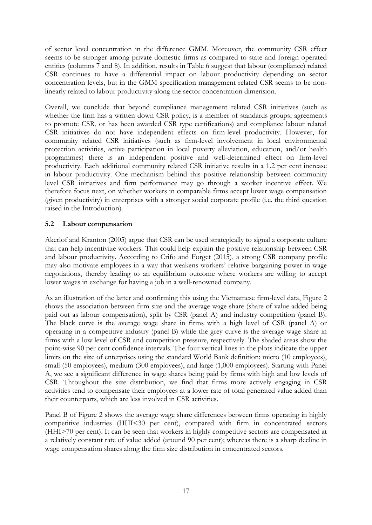of sector level concentration in the difference GMM. Moreover, the community CSR effect seems to be stronger among private domestic firms as compared to state and foreign operated entities (columns 7 and 8). In addition, results in Table 6 suggest that labour (compliance) related CSR continues to have a differential impact on labour productivity depending on sector concentration levels, but in the GMM specification management related CSR seems to be nonlinearly related to labour productivity along the sector concentration dimension.

Overall, we conclude that beyond compliance management related CSR initiatives (such as whether the firm has a written down CSR policy, is a member of standards groups, agreements to promote CSR, or has been awarded CSR type certifications) and compliance labour related CSR initiatives do not have independent effects on firm-level productivity. However, for community related CSR initiatives (such as firm-level involvement in local environmental protection activities, active participation in local poverty alleviation, education, and/or health programmes) there is an independent positive and well-determined effect on firm-level productivity. Each additional community related CSR initiative results in a 1.2 per cent increase in labour productivity. One mechanism behind this positive relationship between community level CSR initiatives and firm performance may go through a worker incentive effect. We therefore focus next, on whether workers in comparable firms accept lower wage compensation (given productivity) in enterprises with a stronger social corporate profile (i.e. the third question raised in the Introduction).

# **5.2 Labour compensation**

Akerlof and Kranton (2005) argue that CSR can be used strategically to signal a corporate culture that can help incentivize workers. This could help explain the positive relationship between CSR and labour productivity. According to Crifo and Forget (2015), a strong CSR company profile may also motivate employees in a way that weakens workers' relative bargaining power in wage negotiations, thereby leading to an equilibrium outcome where workers are willing to accept lower wages in exchange for having a job in a well-renowned company.

As an illustration of the latter and confirming this using the Vietnamese firm-level data, Figure 2 shows the association between firm size and the average wage share (share of value added being paid out as labour compensation), split by CSR (panel A) and industry competition (panel B). The black curve is the average wage share in firms with a high level of CSR (panel A) or operating in a competitive industry (panel B) while the grey curve is the average wage share in firms with a low level of CSR and competition pressure, respectively. The shaded areas show the point-wise 90 per cent confidence intervals. The four vertical lines in the plots indicate the upper limits on the size of enterprises using the standard World Bank definition: micro (10 employees), small (50 employees), medium (300 employees), and large (1,000 employees). Starting with Panel A, we see a significant difference in wage shares being paid by firms with high and low levels of CSR. Throughout the size distribution, we find that firms more actively engaging in CSR activities tend to compensate their employees at a lower rate of total generated value added than their counterparts, which are less involved in CSR activities.

Panel B of Figure 2 shows the average wage share differences between firms operating in highly competitive industries (HHI<30 per cent), compared with firm in concentrated sectors (HHI>70 per cent). It can be seen that workers in highly competitive sectors are compensated at a relatively constant rate of value added (around 90 per cent); whereas there is a sharp decline in wage compensation shares along the firm size distribution in concentrated sectors.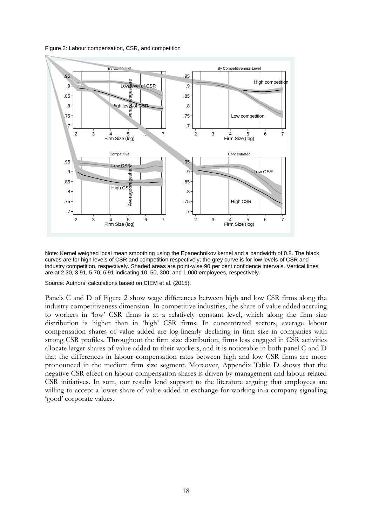Figure 2: Labour compensation, CSR, and competition



Note: Kernel weighed local mean smoothing using the Epanechnikov kernel and a bandwidth of 0.8. The black curves are for high levels of CSR and competition respectively; the grey curve is for low levels of CSR and industry competition, respectively. Shaded areas are point-wise 90 per cent confidence intervals. Vertical lines are at 2.30, 3.91, 5.70, 6.91 indicating 10, 50, 300, and 1,000 employees, respectively.

Source: Authors' calculations based on CIEM et al. (2015).

Panels C and D of Figure 2 show wage differences between high and low CSR firms along the industry competitiveness dimension. In competitive industries, the share of value added accruing to workers in 'low' CSR firms is at a relatively constant level, which along the firm size distribution is higher than in 'high' CSR firms. In concentrated sectors, average labour compensation shares of value added are log-linearly declining in firm size in companies with strong CSR profiles. Throughout the firm size distribution, firms less engaged in CSR activities allocate larger shares of value added to their workers, and it is noticeable in both panel C and D that the differences in labour compensation rates between high and low CSR firms are more pronounced in the medium firm size segment. Moreover, Appendix Table D shows that the negative CSR effect on labour compensation shares is driven by management and labour related CSR initiatives. In sum, our results lend support to the literature arguing that employees are willing to accept a lower share of value added in exchange for working in a company signalling 'good' corporate values.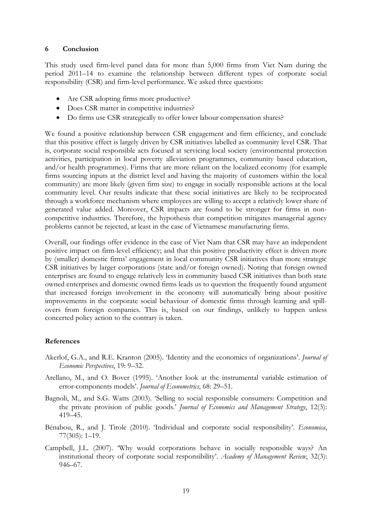#### **6 Conclusion**

This study used firm-level panel data for more than 5,000 firms from Viet Nam during the period 2011–14 to examine the relationship between different types of corporate social responsibility (CSR) and firm-level performance. We asked three questions:

- Are CSR adopting firms more productive?
- Does CSR matter in competitive industries?
- Do firms use CSR strategically to offer lower labour compensation shares?

We found a positive relationship between CSR engagement and firm efficiency, and conclude that this positive effect is largely driven by CSR initiatives labelled as community level CSR. That is, corporate social responsible acts focused at servicing local society (environmental protection activities, participation in local poverty alleviation programmes, community based education, and/or health programmes). Firms that are more reliant on the localized economy (for example firms sourcing inputs at the district level and having the majority of customers within the local community) are more likely (given firm size) to engage in socially responsible actions at the local community level. Our results indicate that these social initiatives are likely to be reciprocated through a workforce mechanism where employees are willing to accept a relatively lower share of generated value added. Moreover, CSR impacts are found to be stronger for firms in noncompetitive industries. Therefore, the hypothesis that competition mitigates managerial agency problems cannot be rejected, at least in the case of Vietnamese manufacturing firms.

Overall, our findings offer evidence in the case of Viet Nam that CSR may have an independent positive impact on firm-level efficiency; and that this positive productivity effect is driven more by (smaller) domestic firms' engagement in local community CSR initiatives than more strategic CSR initiatives by larger corporations (state and/or foreign owned). Noting that foreign owned enterprises are found to engage relatively less in community based CSR initiatives than both state owned enterprises and domestic owned firms leads us to question the frequently found argument that increased foreign involvement in the economy will automatically bring about positive improvements in the corporate social behaviour of domestic firms through learning and spillovers from foreign companies. This is, based on our findings, unlikely to happen unless concerted policy action to the contrary is taken.

# **References**

- Akerlof, G.A., and R.E. Kranton (2005). 'Identity and the economics of organizations'. *Journal of Economic Perspectives*, 19: 9–32.
- Arellano, M., and O. Bover (1995). 'Another look at the instrumental variable estimation of error-components models'. *Journal of Econometrics*, 68: 29–51.
- Bagnoli, M., and S.G. Watts (2003). 'Selling to social responsible consumers: Competition and the private provision of public goods.' *Journal of Economics and Management Strategy*, 12(3): 419–45.
- Bénabou, R., and J. Tirole (2010). 'Individual and corporate social responsibility'. *Economica*, 77(305): 1–19.
- Campbell, J.L. (2007). 'Why would corporations behave in socially responsible ways? An institutional theory of corporate social responsibility'. *Academy of Management Review*, 32(3): 946–67.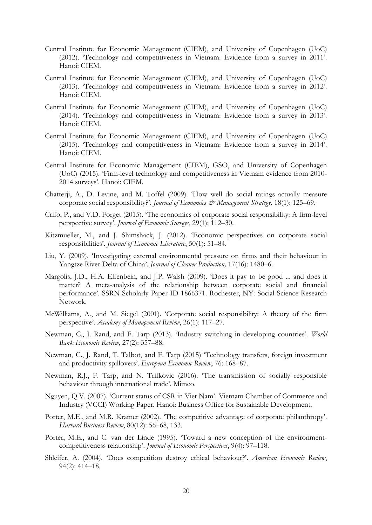- Central Institute for Economic Management (CIEM), and University of Copenhagen (UoC) (2012). 'Technology and competitiveness in Vietnam: Evidence from a survey in 2011'. Hanoi: CIEM.
- Central Institute for Economic Management (CIEM), and University of Copenhagen (UoC) (2013). 'Technology and competitiveness in Vietnam: Evidence from a survey in 2012'. Hanoi: CIEM.
- Central Institute for Economic Management (CIEM), and University of Copenhagen (UoC) (2014). 'Technology and competitiveness in Vietnam: Evidence from a survey in 2013'. Hanoi: CIEM.
- Central Institute for Economic Management (CIEM), and University of Copenhagen (UoC) (2015). 'Technology and competitiveness in Vietnam: Evidence from a survey in 2014'. Hanoi: CIEM.
- Central Institute for Economic Management (CIEM), GSO, and University of Copenhagen (UoC) (2015). 'Firm-level technology and competitiveness in Vietnam evidence from 2010- 2014 surveys'. Hanoi: CIEM.
- Chatterji, A., D. Levine, and M. Toffel (2009). 'How well do social ratings actually measure corporate social responsibility?'. *Journal of Economics & Management Strategy*, 18(1): 125–69.
- Crifo, P., and V.D. Forget (2015). 'The economics of corporate social responsibility: A firm-level perspective survey'. *Journal of Economic Surveys*, 29(1): 112–30.
- Kitzmueller, M., and J. Shimshack, J. (2012). 'Economic perspectives on corporate social responsibilities'. *Journal of Economic Literature*, 50(1): 51–84.
- Liu, Y. (2009). 'Investigating external environmental pressure on firms and their behaviour in Yangtze River Delta of China'. *Journal of Cleaner Production,* 17(16): 1480–6.
- Margolis, J.D., H.A. Elfenbein, and J.P. Walsh (2009). 'Does it pay to be good ... and does it matter? A meta-analysis of the relationship between corporate social and financial performance'. SSRN Scholarly Paper ID 1866371. Rochester, NY: Social Science Research Network.
- McWilliams, A., and M. Siegel (2001). 'Corporate social responsibility: A theory of the firm perspective'. *Academy of Management Review*, 26(1): 117–27.
- Newman, C., J. Rand, and F. Tarp (2013). 'Industry switching in developing countries'. *World Bank Economic Review*, 27(2): 357–88.
- Newman, C., J. Rand, T. Talbot, and F. Tarp (2015) 'Technology transfers, foreign investment and productivity spillovers'. *European Economic Review*, 76: 168–87.
- Newman, R.J., F. Tarp, and N. Trifkovic (2016). 'The transmission of socially responsible behaviour through international trade'. Mimeo.
- Nguyen, Q.V. (2007). 'Current status of CSR in Viet Nam'. Vietnam Chamber of Commerce and Industry (VCCI) Working Paper. Hanoi: Business Office for Sustainable Development.
- Porter, M.E., and M.R. Kramer (2002). 'The competitive advantage of corporate philanthropy'. *Harvard Business Review*, 80(12): 56–68, 133.
- Porter, M.E., and C. van der Linde (1995). 'Toward a new conception of the environmentcompetitiveness relationship'. *Journal of Economic Perspectives*, 9(4): 97–118.
- Shleifer, A. (2004). 'Does competition destroy ethical behaviour?'. *American Economic Review*, 94(2): 414–18.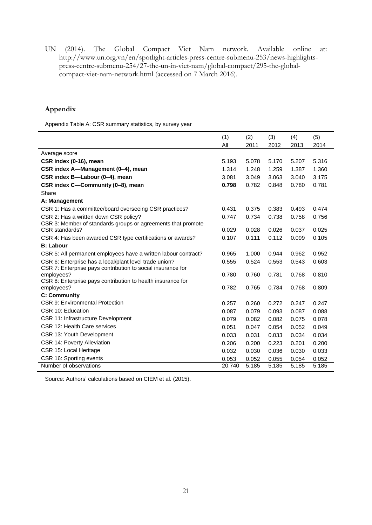UN (2014). The Global Compact Viet Nam network. Available online at: [http://www.un.org.vn/en/spotlight-articles-press-centre-submenu-253/news-highlights](http://www.un.org.vn/en/spotlight-articles-press-centre-submenu-253/news-highlights-press-centre-submenu-254/27-the-un-in-viet-nam/global-compact/295-the-global-compact-viet-nam-network.html)[press-centre-submenu-254/27-the-un-in-viet-nam/global-compact/295-the-global](http://www.un.org.vn/en/spotlight-articles-press-centre-submenu-253/news-highlights-press-centre-submenu-254/27-the-un-in-viet-nam/global-compact/295-the-global-compact-viet-nam-network.html)[compact-viet-nam-network.html](http://www.un.org.vn/en/spotlight-articles-press-centre-submenu-253/news-highlights-press-centre-submenu-254/27-the-un-in-viet-nam/global-compact/295-the-global-compact-viet-nam-network.html) (accessed on 7 March 2016).

# **Appendix**

Appendix Table A: CSR summary statistics, by survey year

|                                                                           | (1)    | (2)   | (3)   | (4)   | (5)   |
|---------------------------------------------------------------------------|--------|-------|-------|-------|-------|
|                                                                           | All    | 2011  | 2012  | 2013  | 2014  |
| Average score                                                             |        |       |       |       |       |
| CSR index (0-16), mean                                                    | 5.193  | 5.078 | 5.170 | 5.207 | 5.316 |
| CSR index A-Management (0-4), mean                                        | 1.314  | 1.248 | 1.259 | 1.387 | 1.360 |
| CSR index B-Labour (0-4), mean                                            | 3.081  | 3.049 | 3.063 | 3.040 | 3.175 |
| CSR index C-Community (0-8), mean                                         | 0.798  | 0.782 | 0.848 | 0.780 | 0.781 |
| Share                                                                     |        |       |       |       |       |
| A: Management                                                             |        |       |       |       |       |
| CSR 1: Has a committee/board overseeing CSR practices?                    | 0.431  | 0.375 | 0.383 | 0.493 | 0.474 |
| CSR 2: Has a written down CSR policy?                                     | 0.747  | 0.734 | 0.738 | 0.758 | 0.756 |
| CSR 3: Member of standards groups or agreements that promote              |        |       |       |       |       |
| CSR standards?                                                            | 0.029  | 0.028 | 0.026 | 0.037 | 0.025 |
| CSR 4: Has been awarded CSR type certifications or awards?                | 0.107  | 0.111 | 0.112 | 0.099 | 0.105 |
| <b>B: Labour</b>                                                          |        |       |       |       |       |
| CSR 5: All permanent employees have a written labour contract?            | 0.965  | 1.000 | 0.944 | 0.962 | 0.952 |
| CSR 6: Enterprise has a local/plant level trade union?                    | 0.555  | 0.524 | 0.553 | 0.543 | 0.603 |
| CSR 7: Enterprise pays contribution to social insurance for<br>employees? | 0.780  | 0.760 | 0.781 | 0.768 | 0.810 |
| CSR 8: Enterprise pays contribution to health insurance for               |        |       |       |       |       |
| employees?                                                                | 0.782  | 0.765 | 0.784 | 0.768 | 0.809 |
| <b>C: Community</b>                                                       |        |       |       |       |       |
| <b>CSR 9: Environmental Protection</b>                                    | 0.257  | 0.260 | 0.272 | 0.247 | 0.247 |
| CSR 10: Education                                                         | 0.087  | 0.079 | 0.093 | 0.087 | 0.088 |
| CSR 11: Infrastructure Development                                        | 0.079  | 0.082 | 0.082 | 0.075 | 0.078 |
| CSR 12: Health Care services                                              | 0.051  | 0.047 | 0.054 | 0.052 | 0.049 |
| CSR 13: Youth Development                                                 | 0.033  | 0.031 | 0.033 | 0.034 | 0.034 |
| CSR 14: Poverty Alleviation                                               | 0.206  | 0.200 | 0.223 | 0.201 | 0.200 |
| CSR 15: Local Heritage                                                    | 0.032  | 0.030 | 0.036 | 0.030 | 0.033 |
| CSR 16: Sporting events                                                   | 0.053  | 0.052 | 0.055 | 0.054 | 0.052 |
| Number of observations                                                    | 20,740 | 5,185 | 5,185 | 5,185 | 5,185 |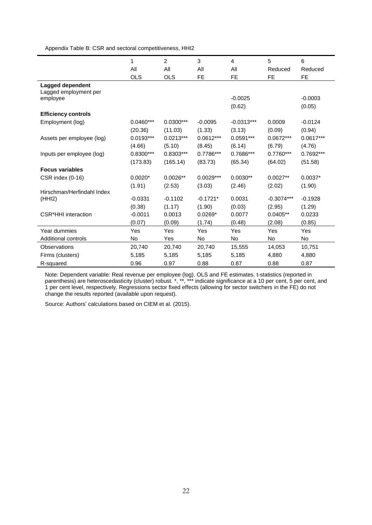Appendix Table B: CSR and sectoral competitiveness, HHI2

|                            | 1           | $\overline{2}$ | 3           | $\overline{4}$ | 5            | 6          |
|----------------------------|-------------|----------------|-------------|----------------|--------------|------------|
|                            | All         | All            | All         | All            | Reduced      | Reduced    |
|                            | <b>OLS</b>  | <b>OLS</b>     | <b>FE</b>   | <b>FE</b>      | <b>FE</b>    | <b>FE</b>  |
| Lagged dependent           |             |                |             |                |              |            |
| Lagged employment per      |             |                |             |                |              |            |
| employee                   |             |                |             | $-0.0025$      |              | $-0.0003$  |
|                            |             |                |             | (0.62)         |              | (0.05)     |
| <b>Efficiency controls</b> |             |                |             |                |              |            |
| Employment (log)           | $0.0460***$ | $0.0300***$    | $-0.0095$   | $-0.0313***$   | 0.0009       | $-0.0124$  |
|                            | (20.36)     | (11.03)        | (1.33)      | (3.13)         | (0.09)       | (0.94)     |
| Assets per employee (log)  | $0.0193***$ | $0.0213***$    | $0.0612***$ | $0.0591***$    | $0.0672***$  | 0.0617***  |
|                            | (4.66)      | (5.10)         | (8.45)      | (6.14)         | (6.79)       | (4.76)     |
| Inputs per employee (log)  | 0.8300***   | 0.8303***      | 0.7786***   | 0.7686***      | 0.7760***    | 0.7692***  |
|                            | (173.83)    | (165.14)       | (83.73)     | (65.34)        | (64.02)      | (51.58)    |
| <b>Focus variables</b>     |             |                |             |                |              |            |
| CSR index (0-16)           | $0.0020*$   | $0.0026**$     | $0.0029***$ | $0.0030**$     | $0.0027**$   | $0.0037*$  |
|                            | (1.91)      | (2.53)         | (3.03)      | (2.46)         | (2.02)       | (1.90)     |
| Hirschman/Herfindahl Index |             |                |             |                |              |            |
| (HHI2)                     | $-0.0331$   | $-0.1102$      | $-0.1721*$  | 0.0031         | $-0.3074***$ | $-0.1928$  |
|                            | (0.38)      | (1.17)         | (1.90)      | (0.03)         | (2.95)       | (1.29)     |
| <b>CSR*HHI</b> interaction | $-0.0011$   | 0.0013         | $0.0269*$   | 0.0077         | $0.0405**$   | 0.0233     |
|                            | (0.07)      | (0.09)         | (1.74)      | (0.48)         | (2.08)       | (0.85)     |
| Year dummies               | Yes         | Yes            | Yes         | Yes            | Yes          | <b>Yes</b> |
| <b>Additional controls</b> | No          | Yes            | No          | No             | No           | No         |
| Observations               | 20,740      | 20,740         | 20,740      | 15,555         | 14,053       | 10,751     |
| Firms (clusters)           | 5,185       | 5,185          | 5,185       | 5,185          | 4,880        | 4,880      |
| R-squared                  | 0.96        | 0.97           | 0.88        | 0.87           | 0.88         | 0.87       |

Note: Dependent variable: Real revenue per employee (log). OLS and FE estimates. t-statistics (reported in parenthesis) are heteroscedasticity (cluster) robust. \*, \*\*, \*\*\* indicate significance at a 10 per cent, 5 per cent, and 1 per cent level, respectively. Regressions sector fixed effects (allowing for sector switchers in the FE) do not change the results reported (available upon request).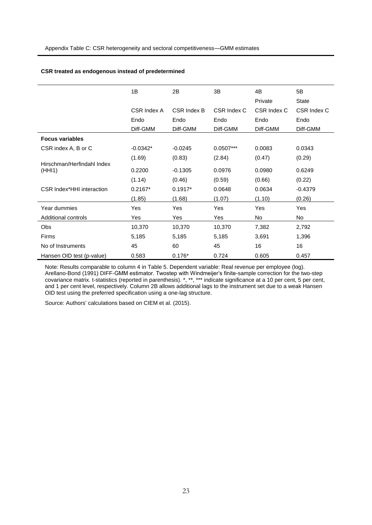#### **CSR treated as endogenous instead of predetermined**

|                                      | 1B          | 2B          | 3В          | 4B          | 5B           |
|--------------------------------------|-------------|-------------|-------------|-------------|--------------|
|                                      |             |             |             | Private     | <b>State</b> |
|                                      | CSR Index A | CSR Index B | CSR Index C | CSR Index C | CSR Index C  |
|                                      | Endo        | Endo        | Endo        | Endo        | Endo         |
|                                      | Diff-GMM    | Diff-GMM    | Diff-GMM    | Diff-GMM    | Diff-GMM     |
| <b>Focus variables</b>               |             |             |             |             |              |
| CSR index A, B or C                  | $-0.0342*$  | $-0.0245$   | $0.0507***$ | 0.0083      | 0.0343       |
|                                      | (1.69)      | (0.83)      | (2.84)      | (0.47)      | (0.29)       |
| Hirschman/Herfindahl Index<br>(HHI1) | 0.2200      | $-0.1305$   | 0.0976      | 0.0980      | 0.6249       |
|                                      | (1.14)      | (0.46)      | (0.59)      | (0.66)      | (0.22)       |
| CSR Index*HHI interaction            | $0.2167*$   | $0.1917*$   | 0.0648      | 0.0634      | $-0.4379$    |
|                                      | (1.85)      | (1.68)      | (1.07)      | (1.10)      | (0.26)       |
| Year dummies                         | Yes         | Yes         | Yes         | Yes         | Yes          |
| Additional controls                  | Yes         | Yes         | Yes         | No          | No           |
| Obs                                  | 10,370      | 10,370      | 10,370      | 7,382       | 2,792        |
| Firms                                | 5,185       | 5,185       | 5,185       | 3,691       | 1,396        |
| No of Instruments                    | 45          | 60          | 45          | 16          | 16           |
| Hansen OID test (p-value)            | 0.583       | $0.176*$    | 0.724       | 0.605       | 0.457        |

Note: Results comparable to column 4 in Table 5. Dependent variable: Real revenue per employee (log). Arellano-Bond (1991) DIFF-GMM estimator. Twostep with Windmeijer's finite-sample correction for the two-step covariance matrix. t-statistics (reported in parenthesis). \*, \*\*, \*\*\* indicate significance at a 10 per cent, 5 per cent, and 1 per cent level, respectively. Column 2B allows additional lags to the instrument set due to a weak Hansen OID test using the preferred specification using a one-lag structure.